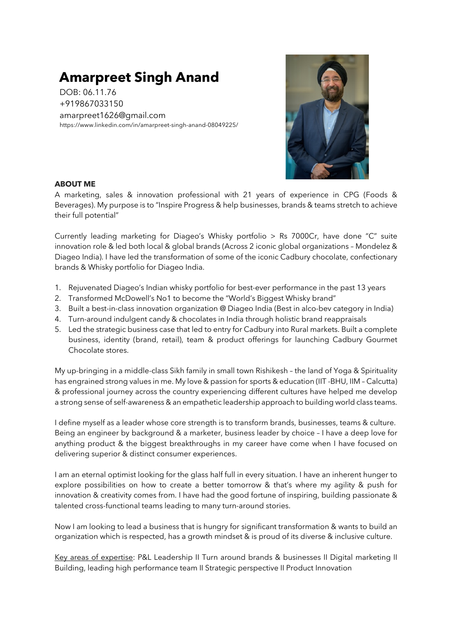# **Amarpreet Singh Anand**

DOB: 06.11.76 +919867033150 amarpreet1626@gmail.com https://www.linkedin.com/in/amarpreet-singh-anand-08049225/



# **ABOUT ME**

A marketing, sales & innovation professional with 21 years of experience in CPG (Foods & Beverages). My purpose is to "Inspire Progress & help businesses, brands & teams stretch to achieve their full potential"

Currently leading marketing for Diageo's Whisky portfolio > Rs 7000Cr, have done "C" suite innovation role & led both local & global brands (Across 2 iconic global organizations – Mondelez & Diageo India). I have led the transformation of some of the iconic Cadbury chocolate, confectionary brands & Whisky portfolio for Diageo India.

- 1. Rejuvenated Diageo's Indian whisky portfolio for best-ever performance in the past 13 years
- 2. Transformed McDowell's No1 to become the "World's Biggest Whisky brand"
- 3. Built a best-in-class innovation organization @ Diageo India (Best in alco-bev category in India)
- 4. Turn-around indulgent candy & chocolates in India through holistic brand reappraisals
- 5. Led the strategic business case that led to entry for Cadbury into Rural markets. Built a complete business, identity (brand, retail), team & product offerings for launching Cadbury Gourmet Chocolate stores.

My up-bringing in a middle-class Sikh family in small town Rishikesh – the land of Yoga & Spirituality has engrained strong values in me. My love & passion for sports & education (IIT -BHU, IIM – Calcutta) & professional journey across the country experiencing different cultures have helped me develop a strong sense of self-awareness & an empathetic leadership approach to building world class teams.

I define myself as a leader whose core strength is to transform brands, businesses, teams & culture. Being an engineer by background & a marketer, business leader by choice – I have a deep love for anything product & the biggest breakthroughs in my career have come when I have focused on delivering superior & distinct consumer experiences.

I am an eternal optimist looking for the glass half full in every situation. I have an inherent hunger to explore possibilities on how to create a better tomorrow & that's where my agility & push for innovation & creativity comes from. I have had the good fortune of inspiring, building passionate & talented cross-functional teams leading to many turn-around stories.

Now I am looking to lead a business that is hungry for significant transformation & wants to build an organization which is respected, has a growth mindset & is proud of its diverse & inclusive culture.

Key areas of expertise: P&L Leadership II Turn around brands & businesses II Digital marketing II Building, leading high performance team II Strategic perspective II Product Innovation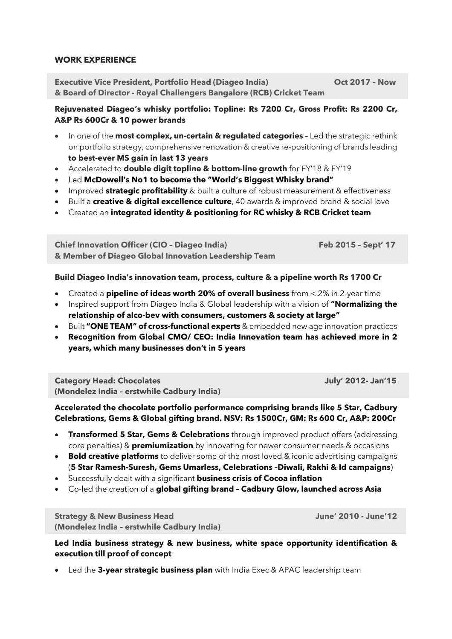#### **WORK EXPERIENCE**

**Executive Vice President, Portfolio Head (Diageo India) Oct 2017 – Now & Board of Director - Royal Challengers Bangalore (RCB) Cricket Team**

# **Rejuvenated Diageo's whisky portfolio: Topline: Rs 7200 Cr, Gross Profit: Rs 2200 Cr, A&P Rs 600Cr & 10 power brands**

- In one of the **most complex, un-certain & regulated categories** Led the strategic rethink on portfolio strategy, comprehensive renovation & creative re-positioning of brands leading **to best-ever MS gain in last 13 years**
- Accelerated to **double digit topline & bottom-line growth** for FY'18 & FY'19
- Led **McDowell's No1 to become the "World's Biggest Whisky brand"**
- Improved **strategic profitability** & built a culture of robust measurement & effectiveness
- Built a **creative & digital excellence culture**, 40 awards & improved brand & social love
- Created an **integrated identity & positioning for RC whisky & RCB Cricket team**

**Chief Innovation Officer (CIO – Diageo India) Feb 2015 – Sept' 17 & Member of Diageo Global Innovation Leadership Team**

## **Build Diageo India's innovation team, process, culture & a pipeline worth Rs 1700 Cr**

- Created a **pipeline of ideas worth 20% of overall business** from < 2% in 2-year time
- Inspired support from Diageo India & Global leadership with a vision of **"Normalizing the relationship of alco-bev with consumers, customers & society at large"**
- Built **"ONE TEAM" of cross-functional experts** & embedded new age innovation practices
- **Recognition from Global CMO/ CEO: India Innovation team has achieved more in 2 years, which many businesses don't in 5 years**

**Category Head: Chocolates July' 2012- Jan'15 (Mondelez India – erstwhile Cadbury India)**

# **Accelerated the chocolate portfolio performance comprising brands like 5 Star, Cadbury Celebrations, Gems & Global gifting brand. NSV: Rs 1500Cr, GM: Rs 600 Cr, A&P: 200Cr**

- **Transformed 5 Star, Gems & Celebrations** through improved product offers (addressing core penalties) & **premiumization** by innovating for newer consumer needs & occasions
- **Bold creative platforms** to deliver some of the most loved & iconic advertising campaigns (**5 Star Ramesh-Suresh, Gems Umarless, Celebrations –Diwali, Rakhi & Id campaigns**)
- Successfully dealt with a significant **business crisis of Cocoa inflation**
- Co-led the creation of a **global gifting brand – Cadbury Glow, launched across Asia**

**Strategy & New Business Head June' 2010 - June'12 (Mondelez India – erstwhile Cadbury India)**

**Led India business strategy & new business, white space opportunity identification & execution till proof of concept** 

• Led the **3-year strategic business plan** with India Exec & APAC leadership team